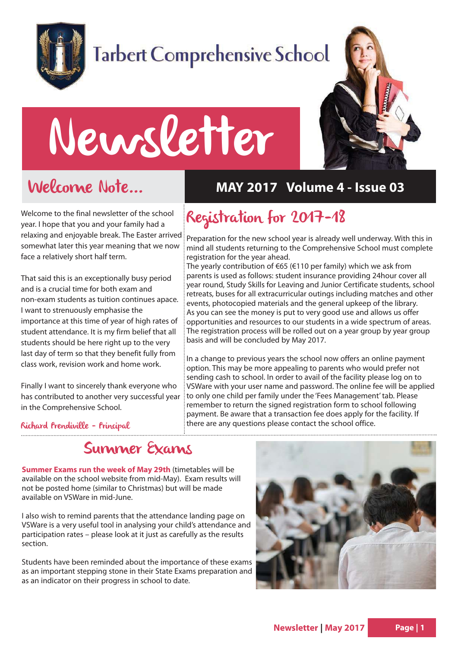

# **Tarbert Comprehensive School**

# Newsletter



# Welcome Note...

Welcome to the final newsletter of the school year. I hope that you and your family had a relaxing and enjoyable break. The Easter arrived somewhat later this year meaning that we now face a relatively short half term.

That said this is an exceptionally busy period and is a crucial time for both exam and non-exam students as tuition continues apace. I want to strenuously emphasise the importance at this time of year of high rates of student attendance. It is my firm belief that all students should be here right up to the very last day of term so that they benefit fully from class work, revision work and home work.

Finally I want to sincerely thank everyone who has contributed to another very successful year in the Comprehensive School.

### **MAY 2017 Volume 4 - Issue 03**

### Registration for 2017-18

Preparation for the new school year is already well underway. With this in mind all students returning to the Comprehensive School must complete registration for the year ahead.

The yearly contribution of €65 (€110 per family) which we ask from parents is used as follows: student insurance providing 24hour cover all year round, Study Skills for Leaving and Junior Certificate students, school retreats, buses for all extracurricular outings including matches and other events, photocopied materials and the general upkeep of the library. As you can see the money is put to very good use and allows us offer opportunities and resources to our students in a wide spectrum of areas. The registration process will be rolled out on a year group by year group basis and will be concluded by May 2017.

In a change to previous years the school now offers an online payment option. This may be more appealing to parents who would prefer not sending cash to school. In order to avail of the facility please log on to VSWare with your user name and password. The online fee will be applied to only one child per family under the 'Fees Management' tab. Please remember to return the signed registration form to school following payment. Be aware that a transaction fee does apply for the facility. If there are any questions please contact the school office.

#### Richard Prendiville - Principal

### Summer Exams

**Summer Exams run the week of May 29th** (timetables will be available on the school website from mid-May). Exam results will not be posted home (similar to Christmas) but will be made available on VSWare in mid-June.

I also wish to remind parents that the attendance landing page on VSWare is a very useful tool in analysing your child's attendance and participation rates – please look at it just as carefully as the results section.

Students have been reminded about the importance of these exams as an important stepping stone in their State Exams preparation and as an indicator on their progress in school to date.

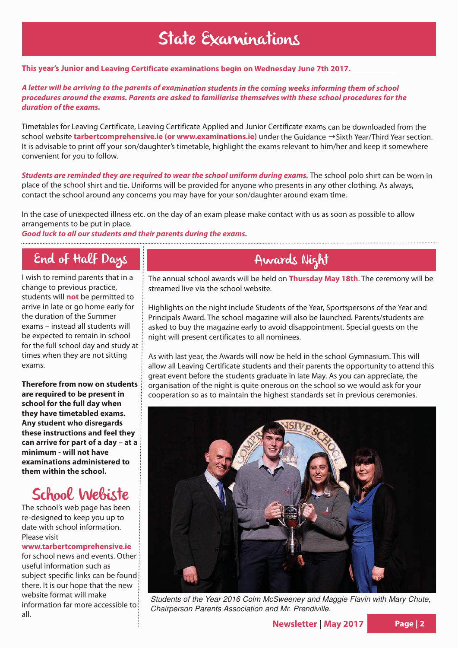# State Examinations

#### **This year's Junior and Leaving Certificate examinations begin on Wednesday June 7th 2017.**

#### **A letter will be arriving to the parents of examination students in the coming weeks informing them of school procedures around the exams. Parents are asked to familiarise themselves with these school procedures for the duration of the exams.**

Timetables for Leaving Certificate, Leaving Certificate Applied and Junior Certificate exams can be downloaded from the school website **tarbertcomprehensive.ie (or www.examinations.ie)** under the Guidance →Sixth Year/Third Year section. It is advisable to print off your son/daughter's timetable, highlight the exams relevant to him/her and keep it somewhere convenient for you to follow.

**Students are reminded they are required to wear the school uniform during exams.** The school polo shirt can be worn in place of the school shirt and tie. Uniforms will be provided for anyone who presents in any other clothing. As always, contact the school around any concerns you may have for your son/daughter around exam time.

In the case of unexpected illness etc. on the day of an exam please make contact with us as soon as possible to allow arrangements to be put in place.

**Good luck to all our students and their parents during the exams.**

### End of Half Days

I wish to remind parents that in a change to previous practice, students will **not** be permitted to arrive in late or go home early for the duration of the Summer exams – instead all students will be expected to remain in school for the full school day and study at times when they are not sitting exams.

**Therefore from now on students are required to be present in school for the full day when they have timetabled exams. Any student who disregards these instructions and feel they can arrive for part of a day – at a minimum - will not have examinations administered to them within the school.**

### School Webiste

The school's web page has been re-designed to keep you up to date with school information. Please visit

#### **www.tarbertcomprehensive.ie**

for school news and events. Other useful information such as subject specific links can be found there. It is our hope that the new website format will make information far more accessible to all.

### Awards Night

The annual school awards will be held on **Thursday May 18th**. The ceremony will be streamed live via the school website.

Highlights on the night include Students of the Year, Sportspersons of the Year and Principals Award. The school magazine will also be launched. Parents/students are asked to buy the magazine early to avoid disappointment. Special guests on the night will present certificates to all nominees.

As with last year, the Awards will now be held in the school Gymnasium. This will allow all Leaving Certificate students and their parents the opportunity to attend this great event before the students graduate in late May. As you can appreciate, the organisation of the night is quite onerous on the school so we would ask for your cooperation so as to maintain the highest standards set in previous ceremonies.



Students of the Year 2016 Colm McSweeney and Maggie Flavin with Mary Chute, Chairperson Parents Association and Mr. Prendiville.

**Newsletter | May 2017 Page | 2**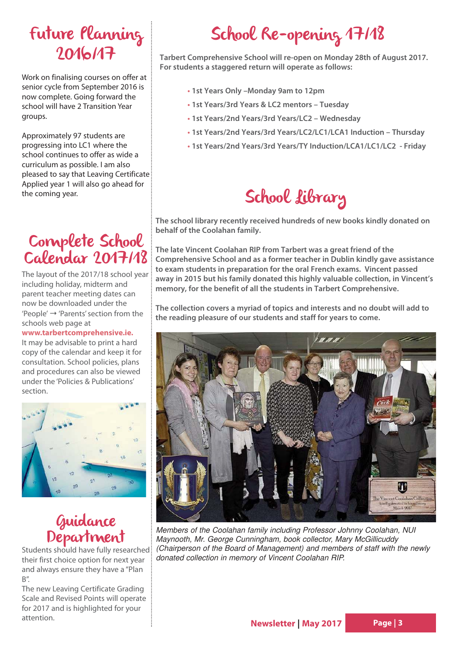## Future Planning 2016/17

Work on finalising courses on offer at senior cycle from September 2016 is now complete. Going forward the school will have 2 Transition Year groups.

Approximately 97 students are progressing into LC1 where the school continues to offer as wide a curriculum as possible. I am also pleased to say that Leaving Certificate Applied year 1 will also go ahead for the coming year.

### Complete School Calendar 2017/18

The layout of the 2017/18 school year including holiday, midterm and parent teacher meeting dates can now be downloaded under the  $'Peoble' \rightarrow 'Parents' section from the$ schools web page at

**www.tarbertcomprehensive.ie.** It may be advisable to print a hard copy of the calendar and keep it for consultation. School policies, plans and procedures can also be viewed under the 'Policies & Publications' section.



### Guidance Department

Students should have fully researched: their first choice option for next year and always ensure they have a "Plan  $B''$ .

The new Leaving Certificate Grading Scale and Revised Points will operate for 2017 and is highlighted for your attention.

# School Re-opening 17/18

**Tarbert Comprehensive School will re-open on Monday 28th of August 2017. For students a staggered return will operate as follows:**

- **• 1st Years Only –Monday 9am to 12pm**
- **• 1st Years/3rd Years & LC2 mentors Tuesday**
- **• 1st Years/2nd Years/3rd Years/LC2 Wednesday**
- **• 1st Years/2nd Years/3rd Years/LC2/LC1/LCA1 Induction Thursday**
- **• 1st Years/2nd Years/3rd Years/TY Induction/LCA1/LC1/LC2 Friday**

# School Library

**The school library recently received hundreds of new books kindly donated on behalf of the Coolahan family.**

**The late Vincent Coolahan RIP from Tarbert was a great friend of the Comprehensive School and as a former teacher in Dublin kindly gave assistance to exam students in preparation for the oral French exams. Vincent passed away in 2015 but his family donated this highly valuable collection, in Vincent's memory, for the benefit of all the students in Tarbert Comprehensive.**

**The collection covers a myriad of topics and interests and no doubt will add to the reading pleasure of our students and staff for years to come.**



Members of the Coolahan family including Professor Johnny Coolahan, NUI Maynooth, Mr. George Cunningham, book collector, Mary McGillicuddy (Chairperson of the Board of Management) and members of staff with the newly donated collection in memory of Vincent Coolahan RIP.